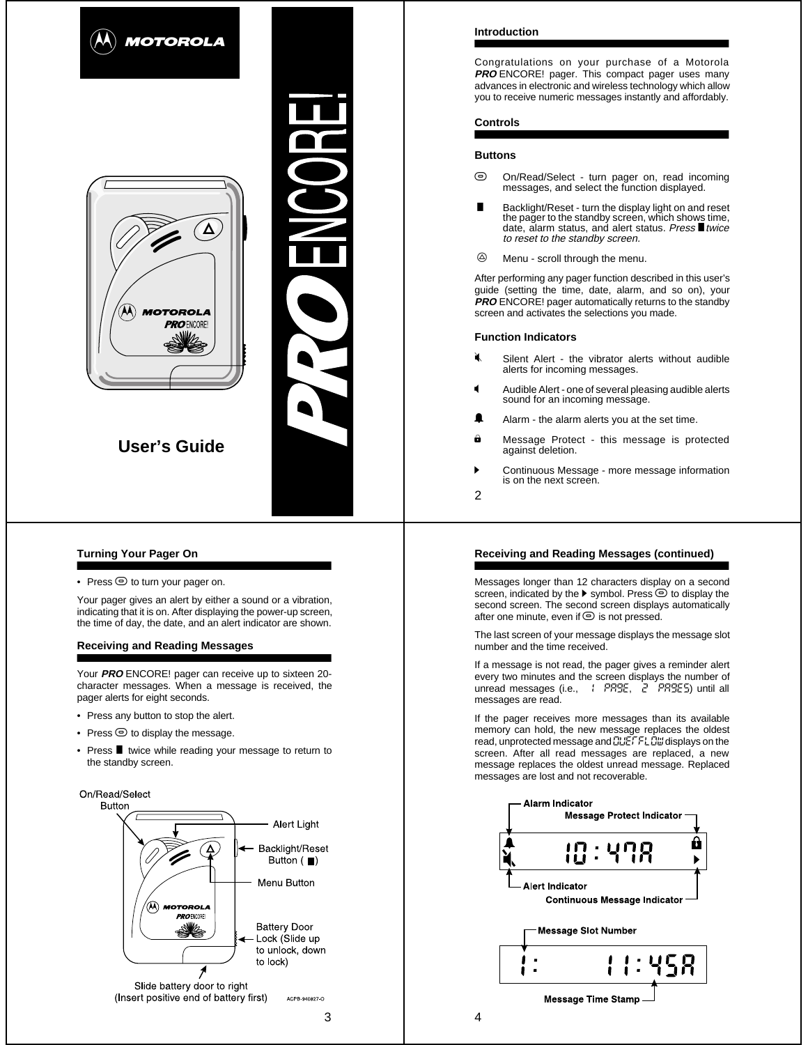

# **Turning Your Pager On**

• Press  $\odot$  to turn your pager on.

Your pager gives an alert by either a sound or a vibration, indicating that it is on. After displaying the power-up screen, the time of day, the date, and an alert indicator are shown.

## **Receiving and Reading Messages**

Your **PRO** ENCORE! pager can receive up to sixteen 20 character messages. When a message is received, the pager alerts for eight seconds.

- Press any button to stop the alert.
- Press  $\odot$  to display the message.
- Press **I** twice while reading your message to return to the standby screen.



## **Introduction**

Congratulations on your purchase of a Motorola **PRO** ENCORE! pager. This compact pager uses many advances in electronic and wireless technology which allow you to receive numeric messages instantly and affordably.

# **Controls**

### **Buttons**

- $\odot$  On/Read/Select - turn pager on, read incoming messages, and select the function displayed.
- V Backlight/Reset - turn the display light on and reset the pager to the standby screen, which shows time, date, alarm status, and alert status. Press  $\blacksquare$  twice to reset to the standby screen.
- $\circledcirc$ Menu - scroll through the menu.

After performing any pager function described in this user's guide (setting the time, date, alarm, and so on), your **PRO** ENCORE! pager automatically returns to the standby screen and activates the selections you made.

### **Function Indicators**

- .<br>4 Silent Alert - the vibrator alerts without audible alerts for incoming messages.
- Audible Alert one of several pleasing audible alerts sound for an incoming message.
- Alarm the alarm alerts you at the set time.
- Message Protect this message is protected against deletion.
- Continuous Message more message information is on the next screen.
- 2

# **Receiving and Reading Messages (continued)**

Messages longer than 12 characters display on a second screen, indicated by the  $\blacktriangleright$  symbol. Press  $\odot$  to display the second screen. The second screen displays automatically after one minute, even if  $\odot$  is not pressed.

The last screen of your message displays the message slot number and the time received.

If a message is not read, the pager gives a reminder alert every two minutes and the screen displays the number of<br>unread messages (i.e., 11 PRSE, 21 PRSES) until all messages are read.

If the pager receives more messages than its available memory can hold, the new message replaces the oldest read, unprotected message and **CLIETFL DI** displays on the screen. After all read messages are replaced, a new message replaces the oldest unread message. Replaced messages are lost and not recoverable.

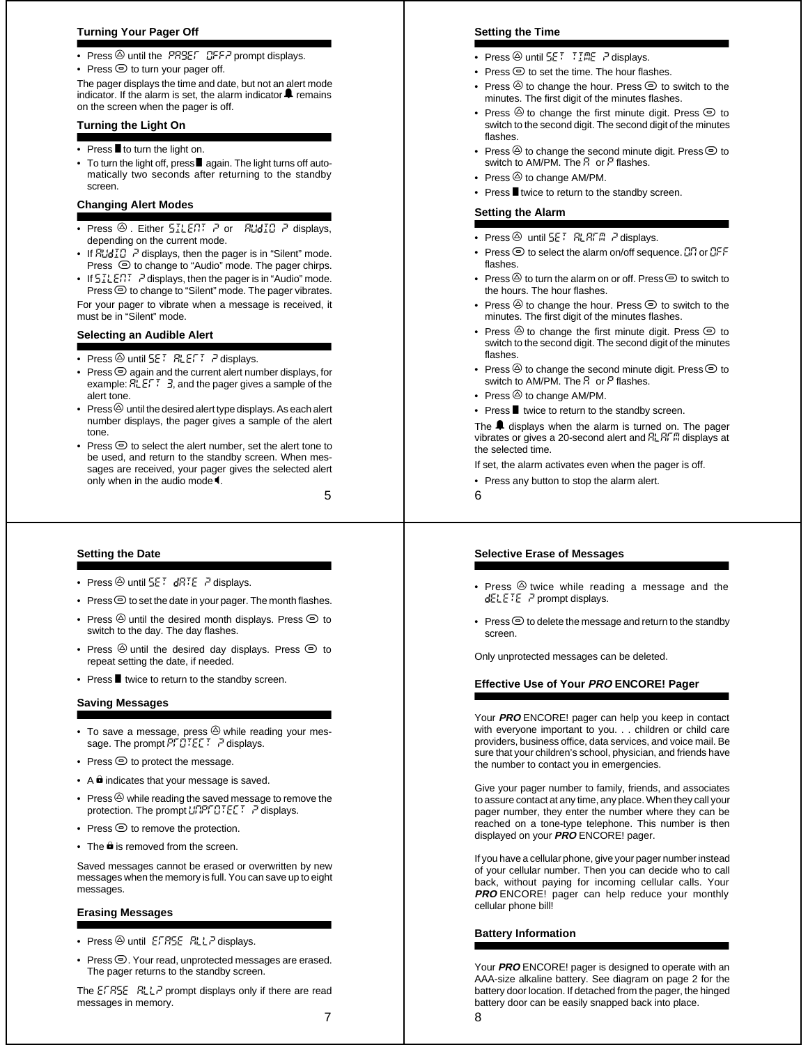## **Turning Your Pager Off**

- Press  $\circledcirc$  until the PRREF OFFP prompt displays.
- Press  $\odot$  to turn your pager off.

The pager displays the time and date, but not an alert mode indicator. If the alarm is set, the alarm indicator  $\blacktriangle$  remains on the screen when the pager is off.

# **Turning the Light On**

- Press  $\blacksquare$  to turn the light on.
- To turn the light off, press■ again. The light turns off automatically two seconds after returning to the standby screen.

# **Changing Alert Modes**

- Press  $\circledcirc$ . Either  $57LE77$   $\bar{r}$  or  $RUdTG$   $\bar{r}$  displays, depending on the current mode.
- If  $R \cup \{i\}$   $\bar{f}$  displays, then the pager is in "Silent" mode. Press  $\odot$  to change to "Audio" mode. The pager chirps.
- If  $5\text{R} \text{F}$ .  $\overline{P}$  displays, then the pager is in "Audio" mode. **Press**  $\odot$  to change to "Silent" mode. The pager vibrates.

For your pager to vibrate when a message is received, it must be in "Silent" mode.

# **Selecting an Audible Alert**

- Press  $\circledcirc$  until  $5E$ <sup>T</sup>  $RLE$ F<sup>T</sup>  $\bar{r}$  displays.
- Press  $\odot$  again and the current alert number displays, for example:  $FLEFT$   $\exists$ , and the pager gives a sample of the alert tone.
- Press $\circledA$  until the desired alert type displays. As each alert number displays, the pager gives a sample of the alert tone.
- Press  $\odot$  to select the alert number, set the alert tone to be used, and return to the standby screen. When messages are received, your pager gives the selected alert only when in the audio mode  $\P$ .

5

## **Setting the Date**

- Press  $\circledcirc$  until  $5E^T$  dRTE  $\bar{r}$  displays.
- Press  $\odot$  to set the date in your pager. The month flashes.
- Press  $\circledcirc$  until the desired month displays. Press  $\circledcirc$  to switch to the day. The day flashes.
- Press  $\textcircled{a}$  until the desired day displays. Press  $\textcircled{e}$  to repeat setting the date, if needed.
- Press **I** twice to return to the standby screen.

### **Saving Messages**

- To save a message, press  $\overset{\circ}{\otimes}$  while reading your message. The prompt  $\overline{P} \overline{P} \overline{G} \overline{P} \in \Gamma$   $\overline{P}$  displays.
- Press  $\odot$  to protect the message.
- $\bullet$  A  $\bullet$  indicates that your message is saved.
- Press  $\circledcirc$  while reading the saved message to remove the protection. The prompt  $L^{r}P^{r}P^{r}P^{r}E^{r}$  ? displays.
- Press  $\odot$  to remove the protection.
- $\bullet$  The  $\hat{\mathbf{\Theta}}$  is removed from the screen.

Saved messages cannot be erased or overwritten by new messages when the memory is full. You can save up to eight messages.

# **Erasing Messages**

- Press  $\circledcirc$  until  $ESTBSE$   $RLLP$  displays.
- Press  $\bigcirc$ . Your read, unprotected messages are erased. The pager returns to the standby screen.

The EFRSE RLLP prompt displays only if there are read messages in memory.

#### **Setting the Time**

- Press  $\circledcirc$  until  $5E^{\dagger}$   $\uparrow$   $F^{\dagger}$   $F^{\dagger}$  displays.
- Press  $\odot$  to set the time. The hour flashes.
- Press  $\textcircled{2}$  to change the hour. Press  $\textcircled{2}$  to switch to the minutes. The first digit of the minutes flashes.
- Press  $\textcircled{2}$  to change the first minute digit. Press  $\textcircled{2}$  to switch to the second digit. The second digit of the minutes flashes.
- Press  $\circledcirc$  to change the second minute digit. Press  $\circledcirc$  to switch to AM/PM. The  $R$  or  $P$  flashes.
- Press  $\circledcirc$  to change AM/PM.
- Press I twice to return to the standby screen.

#### **Setting the Alarm**

- Press X until set alarm ? displays.
- Press  $\odot$  to select the alarm on/off sequence.  $\Box \Box$  or  $\Box F$ flashes.
- Press  $\circledcirc$  to turn the alarm on or off. Press  $\circledcirc$  to switch to the hours. The hour flashes.
- Press  $\textcircled{2}$  to change the hour. Press  $\textcircled{2}$  to switch to the minutes. The first digit of the minutes flashes.
- Press  $\circledcirc$  to change the first minute digit. Press  $\circledcirc$  to switch to the second digit. The second digit of the minutes flashes.
- Press  $\textcircled{2}$  to change the second minute digit. Press  $\textcircled{2}$  to switch to AM/PM. The  $\bar{H}$  or  $\bar{F}$  flashes.
- Press  $\circledcirc$  to change AM/PM.
- Press **I** twice to return to the standby screen.

The  $\triangle$  displays when the alarm is turned on. The pager vibrates or gives a 20-second alert and  $\frac{1}{2}$ ,  $\frac{1}{2}$ ,  $\frac{1}{2}$  displays at the selected time.

If set, the alarm activates even when the pager is off.

- Press any button to stop the alarm alert.
- 6

## **Selective Erase of Messages**

- Press  $\textcircled{a}$  twice while reading a message and the  $dELETE$  . P prompt displays.
- Press  $\odot$  to delete the message and return to the standby screen.

Only unprotected messages can be deleted.

## **Effective Use of Your PRO ENCORE! Pager**

Your **PRO** ENCORE! pager can help you keep in contact with everyone important to you. . . children or child care providers, business office, data services, and voice mail. Be sure that your children's school, physician, and friends have the number to contact you in emergencies.

Give your pager number to family, friends, and associates to assure contact at any time, any place. When they call your pager number, they enter the number where they can be reached on a tone-type telephone. This number is then displayed on your **PRO** ENCORE! pager.

If you have a cellular phone, give your pager number instead of your cellular number. Then you can decide who to call back, without paying for incoming cellular calls. Your **PRO** ENCORE! pager can help reduce your monthly cellular phone bill!

## **Battery Information**

Your **PRO** ENCORE! pager is designed to operate with an AAA-size alkaline battery. See diagram on page 2 for the battery door location. If detached from the pager, the hinged battery door can be easily snapped back into place.